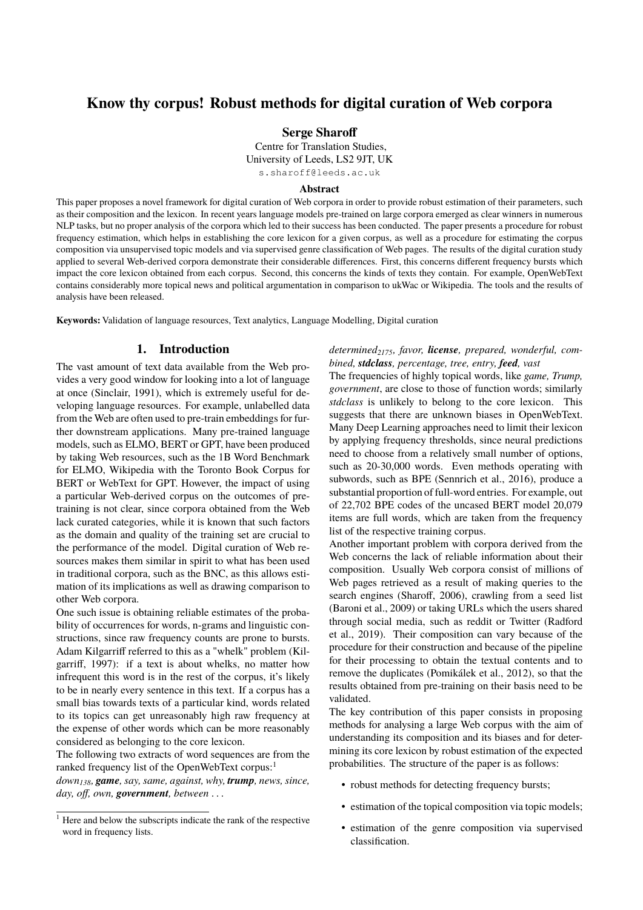# <span id="page-0-0"></span>**Know thy corpus! Robust methods for digital curation of Web corpora**

#### **Serge Sharoff**

Centre for Translation Studies,

University of Leeds, LS2 9JT, UK

s.sharoff@leeds.ac.uk

#### **Abstract**

This paper proposes a novel framework for digital curation of Web corpora in order to provide robust estimation of their parameters, such as their composition and the lexicon. In recent years language models pre-trained on large corpora emerged as clear winners in numerous NLP tasks, but no proper analysis of the corpora which led to their success has been conducted. The paper presents a procedure for robust frequency estimation, which helps in establishing the core lexicon for a given corpus, as well as a procedure for estimating the corpus composition via unsupervised topic models and via supervised genre classification of Web pages. The results of the digital curation study applied to several Web-derived corpora demonstrate their considerable differences. First, this concerns different frequency bursts which impact the core lexicon obtained from each corpus. Second, this concerns the kinds of texts they contain. For example, OpenWebText contains considerably more topical news and political argumentation in comparison to ukWac or Wikipedia. The tools and the results of analysis have been released.

**Keywords:** Validation of language resources, Text analytics, Language Modelling, Digital curation

# **1. Introduction**

The vast amount of text data available from the Web provides a very good window for looking into a lot of language at once (Sinclair, 1991), which is extremely useful for developing language resources. For example, unlabelled data from the Web are often used to pre-train embeddings for further downstream applications. Many pre-trained language models, such as ELMO, BERT or GPT, have been produced by taking Web resources, such as the 1B Word Benchmark for ELMO, Wikipedia with the Toronto Book Corpus for BERT or WebText for GPT. However, the impact of using a particular Web-derived corpus on the outcomes of pretraining is not clear, since corpora obtained from the Web lack curated categories, while it is known that such factors as the domain and quality of the training set are crucial to the performance of the model. Digital curation of Web resources makes them similar in spirit to what has been used in traditional corpora, such as the BNC, as this allows estimation of its implications as well as drawing comparison to other Web corpora.

One such issue is obtaining reliable estimates of the probability of occurrences for words, n-grams and linguistic constructions, since raw frequency counts are prone to bursts. Adam Kilgarriff referred to this as a "whelk" problem (Kilgarriff, 1997): if a text is about whelks, no matter how infrequent this word is in the rest of the corpus, it's likely to be in nearly every sentence in this text. If a corpus has a small bias towards texts of a particular kind, words related to its topics can get unreasonably high raw frequency at the expense of other words which can be more reasonably considered as belonging to the core lexicon.

The following two extracts of word sequences are from the ranked frequency list of the OpenWebText corpus:<sup>1</sup>

*down138, game, say, same, against, why, trump, news, since, day, off, own, government, between* . . .

*determined2175, favor, license, prepared, wonderful, combined, stdclass, percentage, tree, entry, feed, vast*

The frequencies of highly topical words, like *game, Trump, government*, are close to those of function words; similarly *stdclass* is unlikely to belong to the core lexicon. This suggests that there are unknown biases in OpenWebText. Many Deep Learning approaches need to limit their lexicon by applying frequency thresholds, since neural predictions need to choose from a relatively small number of options, such as 20-30,000 words. Even methods operating with subwords, such as BPE (Sennrich et al., 2016), produce a substantial proportion of full-word entries. For example, out of 22,702 BPE codes of the uncased BERT model 20,079 items are full words, which are taken from the frequency list of the respective training corpus.

Another important problem with corpora derived from the Web concerns the lack of reliable information about their composition. Usually Web corpora consist of millions of Web pages retrieved as a result of making queries to the search engines (Sharoff, 2006), crawling from a seed list (Baroni et al., 2009) or taking URLs which the users shared through social media, such as reddit or Twitter (Radford et al., 2019). Their composition can vary because of the procedure for their construction and because of the pipeline for their processing to obtain the textual contents and to remove the duplicates (Pomikálek et al., 2012), so that the results obtained from pre-training on their basis need to be validated.

The key contribution of this paper consists in proposing methods for analysing a large Web corpus with the aim of understanding its composition and its biases and for determining its core lexicon by robust estimation of the expected probabilities. The structure of the paper is as follows:

- robust methods for detecting frequency bursts;
- estimation of the topical composition via topic models;
- estimation of the genre composition via supervised classification.

<sup>&</sup>lt;sup>1</sup> Here and below the subscripts indicate the rank of the respective word in frequency lists.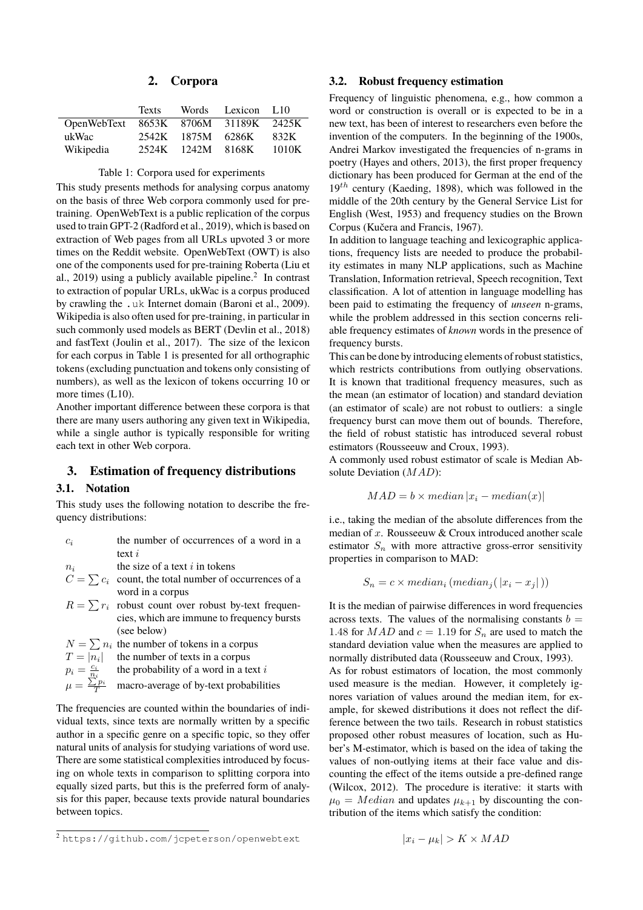### **2. Corpora**

|                                      | <b>Texts</b> |                   | Words Lexicon L10 |       |
|--------------------------------------|--------------|-------------------|-------------------|-------|
| OpenWebText 8653K 8706M 31189K 2425K |              |                   |                   |       |
| ukWac                                |              | 2542K 1875M 6286K |                   | 832K  |
| Wikipedia                            |              | 2524K 1242M 8168K |                   | 1010K |

<span id="page-1-0"></span>Table 1: Corpora used for experiments

This study presents methods for analysing corpus anatomy on the basis of three Web corpora commonly used for pretraining. OpenWebText is a public replication of the corpus used to train GPT-2 [\(Radford et al., 2019\)](#page-0-0), which is based on extraction of Web pages from all URLs upvoted 3 or more times on the Reddit website. OpenWebText (OWT) is also one of the components used for pre-training Roberta [\(Liu et](#page-0-0) [al., 2019\)](#page-0-0) using a publicly available pipeline. $2$  In contrast to extraction of popular URLs, ukWac is a corpus produced by crawling the .uk Internet domain [\(Baroni et al., 2009\)](#page-0-0). Wikipedia is also often used for pre-training, in particular in such commonly used models as BERT [\(Devlin et al., 2018\)](#page-0-0) and fastText [\(Joulin et al., 2017\)](#page-0-0). The size of the lexicon for each corpus in Table [1](#page-1-0) is presented for all orthographic tokens (excluding punctuation and tokens only consisting of numbers), as well as the lexicon of tokens occurring 10 or more times (L10).

Another important difference between these corpora is that there are many users authoring any given text in Wikipedia, while a single author is typically responsible for writing each text in other Web corpora.

### **3. Estimation of frequency distributions**

#### **3.1. Notation**

This study uses the following notation to describe the frequency distributions:

| $c_i$ | the number of occurrences of a word in a |
|-------|------------------------------------------|
|       | text $i$                                 |
| $n_i$ | the size of a text $i$ in tokens         |

- $C = \sum c_i$  count, the total number of occurrences of a word in a corpus
- $R = \sum r_i$  robust count over robust by-text frequencies, which are immune to frequency bursts (see below)

 $N = \sum n_i$  the number of tokens in a corpus

$$
T = |n_i|
$$
 the number of texts in a corpus

$$
p_i = \frac{c_i}{n_i}
$$
 the probability of a word in a text *i*

 $\mu = \frac{\sum p_i}{T}$  macro-average of by-text probabilities

The frequencies are counted within the boundaries of individual texts, since texts are normally written by a specific author in a specific genre on a specific topic, so they offer natural units of analysis for studying variations of word use. There are some statistical complexities introduced by focusing on whole texts in comparison to splitting corpora into equally sized parts, but this is the preferred form of analysis for this paper, because texts provide natural boundaries between topics.

### **3.2. Robust frequency estimation**

Frequency of linguistic phenomena, e.g., how common a word or construction is overall or is expected to be in a new text, has been of interest to researchers even before the invention of the computers. In the beginning of the 1900s, Andrei Markov investigated the frequencies of n-grams in poetry [\(Hayes and others, 2013\)](#page-0-0), the first proper frequency dictionary has been produced for German at the end of the  $19<sup>th</sup>$  century [\(Kaeding, 1898\)](#page-0-0), which was followed in the middle of the 20th century by the General Service List for English [\(West, 1953\)](#page-0-0) and frequency studies on the Brown Corpus [\(Kučera and Francis, 1967\)](#page-0-0).

In addition to language teaching and lexicographic applications, frequency lists are needed to produce the probability estimates in many NLP applications, such as Machine Translation, Information retrieval, Speech recognition, Text classification. A lot of attention in language modelling has been paid to estimating the frequency of *unseen* n-grams, while the problem addressed in this section concerns reliable frequency estimates of *known* words in the presence of frequency bursts.

This can be done by introducing elements of robust statistics, which restricts contributions from outlying observations. It is known that traditional frequency measures, such as the mean (an estimator of location) and standard deviation (an estimator of scale) are not robust to outliers: a single frequency burst can move them out of bounds. Therefore, the field of robust statistic has introduced several robust estimators [\(Rousseeuw and Croux, 1993\)](#page-0-0).

A commonly used robust estimator of scale is Median Absolute Deviation (MAD):

$$
MAD = b \times median |x_i - median(x)|
$$

i.e., taking the median of the absolute differences from the median of  $x$ . Rousseeuw  $&$  Croux introduced another scale estimator  $S_n$  with more attractive gross-error sensitivity properties in comparison to MAD:

$$
S_n = c \times median_i (median_j(\vert x_i - x_j \vert))
$$

It is the median of pairwise differences in word frequencies across texts. The values of the normalising constants  $b =$ 1.48 for  $MAD$  and  $c = 1.19$  for  $S_n$  are used to match the standard deviation value when the measures are applied to normally distributed data [\(Rousseeuw and Croux, 1993\)](#page-0-0).

As for robust estimators of location, the most commonly used measure is the median. However, it completely ignores variation of values around the median item, for example, for skewed distributions it does not reflect the difference between the two tails. Research in robust statistics proposed other robust measures of location, such as Huber's M-estimator, which is based on the idea of taking the values of non-outlying items at their face value and discounting the effect of the items outside a pre-defined range [\(Wilcox, 2012\)](#page-0-0). The procedure is iterative: it starts with  $\mu_0 = Median$  and updates  $\mu_{k+1}$  by discounting the contribution of the items which satisfy the condition:

$$
|x_i - \mu_k| > K \times MAD
$$

<sup>2</sup> <https://github.com/jcpeterson/openwebtext>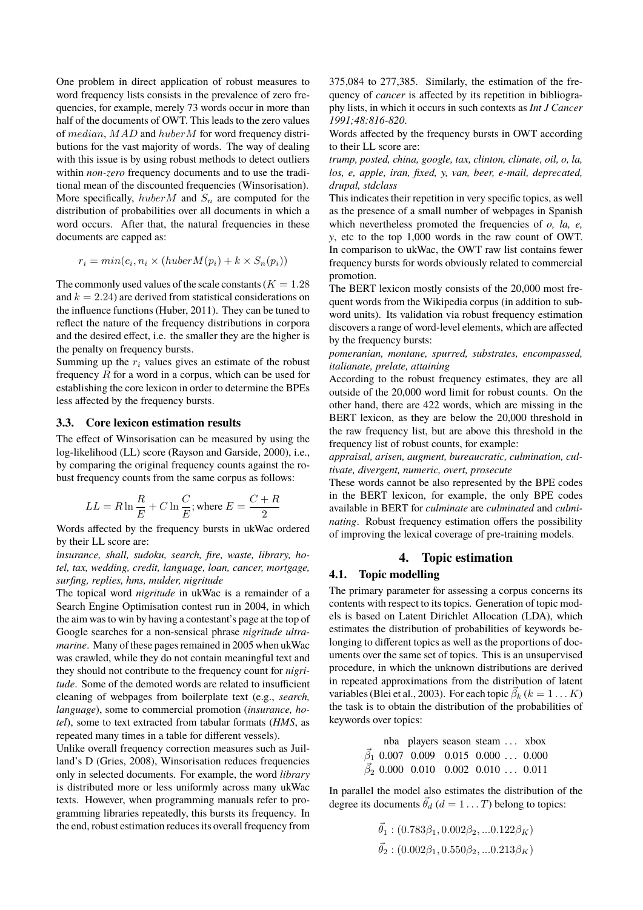One problem in direct application of robust measures to word frequency lists consists in the prevalence of zero frequencies, for example, merely 73 words occur in more than half of the documents of OWT. This leads to the zero values of median, MAD and huberM for word frequency distributions for the vast majority of words. The way of dealing with this issue is by using robust methods to detect outliers within *non-zero* frequency documents and to use the traditional mean of the discounted frequencies (Winsorisation). More specifically, huber  $M$  and  $S_n$  are computed for the distribution of probabilities over all documents in which a word occurs. After that, the natural frequencies in these documents are capped as:

$$
r_i = min(c_i, n_i \times (huberM(p_i) + k \times S_n(p_i))
$$

The commonly used values of the scale constants ( $K = 1.28$ ) and  $k = 2.24$ ) are derived from statistical considerations on the influence functions [\(Huber, 2011\)](#page-0-0). They can be tuned to reflect the nature of the frequency distributions in corpora and the desired effect, i.e. the smaller they are the higher is the penalty on frequency bursts.

Summing up the  $r_i$  values gives an estimate of the robust frequency  $R$  for a word in a corpus, which can be used for establishing the core lexicon in order to determine the BPEs less affected by the frequency bursts.

#### **3.3. Core lexicon estimation results**

The effect of Winsorisation can be measured by using the log-likelihood (LL) score [\(Rayson and Garside, 2000\)](#page-0-0), i.e., by comparing the original frequency counts against the robust frequency counts from the same corpus as follows:

$$
LL = R \ln \frac{R}{E} + C \ln \frac{C}{E}; \text{where } E = \frac{C + R}{2}
$$

Words affected by the frequency bursts in ukWac ordered by their LL score are:

*insurance, shall, sudoku, search, fire, waste, library, hotel, tax, wedding, credit, language, loan, cancer, mortgage, surfing, replies, hms, mulder, nigritude*

The topical word *nigritude* in ukWac is a remainder of a Search Engine Optimisation contest run in 2004, in which the aim was to win by having a contestant's page at the top of Google searches for a non-sensical phrase *nigritude ultramarine*. Many of these pages remained in 2005 when ukWac was crawled, while they do not contain meaningful text and they should not contribute to the frequency count for *nigritude*. Some of the demoted words are related to insufficient cleaning of webpages from boilerplate text (e.g., *search, language*), some to commercial promotion (*insurance, hotel*), some to text extracted from tabular formats (*HMS*, as repeated many times in a table for different vessels).

Unlike overall frequency correction measures such as Juilland's D [\(Gries, 2008\)](#page-0-0), Winsorisation reduces frequencies only in selected documents. For example, the word *library* is distributed more or less uniformly across many ukWac texts. However, when programming manuals refer to programming libraries repeatedly, this bursts its frequency. In the end, robust estimation reduces its overall frequency from 375,084 to 277,385. Similarly, the estimation of the frequency of *cancer* is affected by its repetition in bibliography lists, in which it occurs in such contexts as *Int J Cancer 1991;48:816-820*.

Words affected by the frequency bursts in OWT according to their LL score are:

*trump, posted, china, google, tax, clinton, climate, oil, o, la, los, e, apple, iran, fixed, y, van, beer, e-mail, deprecated, drupal, stdclass*

This indicates their repetition in very specific topics, as well as the presence of a small number of webpages in Spanish which nevertheless promoted the frequencies of *o, la, e, y*, etc to the top 1,000 words in the raw count of OWT. In comparison to ukWac, the OWT raw list contains fewer frequency bursts for words obviously related to commercial promotion.

The BERT lexicon mostly consists of the 20,000 most frequent words from the Wikipedia corpus (in addition to subword units). Its validation via robust frequency estimation discovers a range of word-level elements, which are affected by the frequency bursts:

*pomeranian, montane, spurred, substrates, encompassed, italianate, prelate, attaining*

According to the robust frequency estimates, they are all outside of the 20,000 word limit for robust counts. On the other hand, there are 422 words, which are missing in the BERT lexicon, as they are below the 20,000 threshold in the raw frequency list, but are above this threshold in the frequency list of robust counts, for example:

*appraisal, arisen, augment, bureaucratic, culmination, cultivate, divergent, numeric, overt, prosecute*

These words cannot be also represented by the BPE codes in the BERT lexicon, for example, the only BPE codes available in BERT for *culminate* are *culminated* and *culminating*. Robust frequency estimation offers the possibility of improving the lexical coverage of pre-training models.

### **4. Topic estimation**

#### **4.1. Topic modelling**

The primary parameter for assessing a corpus concerns its contents with respect to its topics. Generation of topic models is based on Latent Dirichlet Allocation (LDA), which estimates the distribution of probabilities of keywords belonging to different topics as well as the proportions of documents over the same set of topics. This is an unsupervised procedure, in which the unknown distributions are derived in repeated approximations from the distribution of latent variables [\(Blei et al., 2003\)](#page-0-0). For each topic  $\vec{\beta}_k$  ( $k = 1...K$ ) the task is to obtain the distribution of the probabilities of keywords over topics:

|  |  | nba players season steam  xbox                 |  |
|--|--|------------------------------------------------|--|
|  |  | $\vec{\beta}_1$ 0.007 0.009 0.015 0.000  0.000 |  |
|  |  | $\vec{\beta}_2$ 0.000 0.010 0.002 0.010  0.011 |  |

In parallel the model also estimates the distribution of the degree its documents  $\vec{\theta}_d$  ( $d = 1 \dots T$ ) belong to topics:

$$
\vec{\theta}_1 : (0.783\beta_1, 0.002\beta_2, ... 0.122\beta_K)
$$
  

$$
\vec{\theta}_2 : (0.002\beta_1, 0.550\beta_2, ... 0.213\beta_K)
$$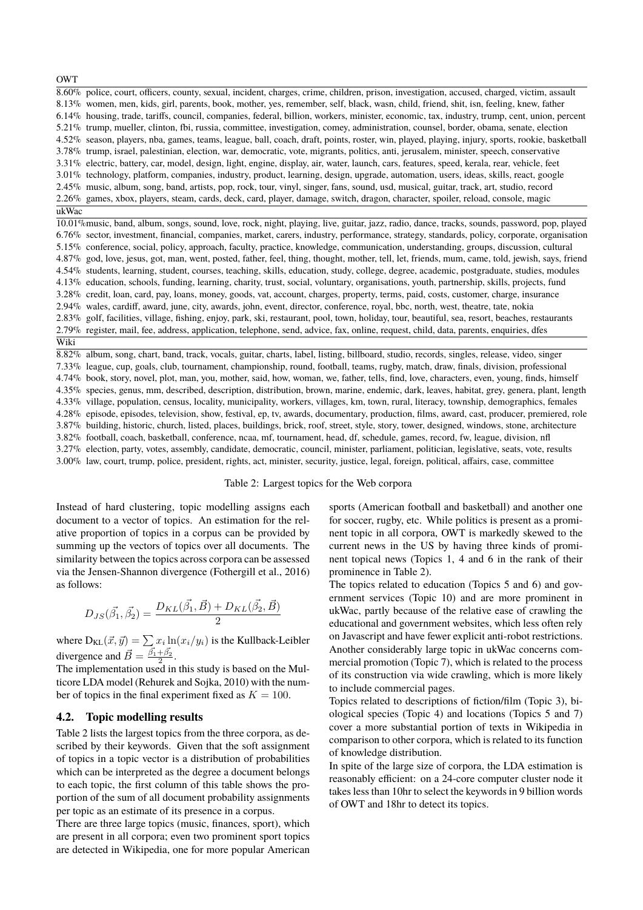**OWT** 

8.60% police, court, officers, county, sexual, incident, charges, crime, children, prison, investigation, accused, charged, victim, assault 8.13% women, men, kids, girl, parents, book, mother, yes, remember, self, black, wasn, child, friend, shit, isn, feeling, knew, father 6.14% housing, trade, tariffs, council, companies, federal, billion, workers, minister, economic, tax, industry, trump, cent, union, percent 5.21% trump, mueller, clinton, fbi, russia, committee, investigation, comey, administration, counsel, border, obama, senate, election 4.52% season, players, nba, games, teams, league, ball, coach, draft, points, roster, win, played, playing, injury, sports, rookie, basketball 3.78% trump, israel, palestinian, election, war, democratic, vote, migrants, politics, anti, jerusalem, minister, speech, conservative 3.31% electric, battery, car, model, design, light, engine, display, air, water, launch, cars, features, speed, kerala, rear, vehicle, feet 3.01% technology, platform, companies, industry, product, learning, design, upgrade, automation, users, ideas, skills, react, google 2.45% music, album, song, band, artists, pop, rock, tour, vinyl, singer, fans, sound, usd, musical, guitar, track, art, studio, record 2.26% games, xbox, players, steam, cards, deck, card, player, damage, switch, dragon, character, spoiler, reload, console, magic ukWac

10.01%music, band, album, songs, sound, love, rock, night, playing, live, guitar, jazz, radio, dance, tracks, sounds, password, pop, played 6.76% sector, investment, financial, companies, market, carers, industry, performance, strategy, standards, policy, corporate, organisation 5.15% conference, social, policy, approach, faculty, practice, knowledge, communication, understanding, groups, discussion, cultural 4.87% god, love, jesus, got, man, went, posted, father, feel, thing, thought, mother, tell, let, friends, mum, came, told, jewish, says, friend 4.54% students, learning, student, courses, teaching, skills, education, study, college, degree, academic, postgraduate, studies, modules 4.13% education, schools, funding, learning, charity, trust, social, voluntary, organisations, youth, partnership, skills, projects, fund 3.28% credit, loan, card, pay, loans, money, goods, vat, account, charges, property, terms, paid, costs, customer, charge, insurance 2.94% wales, cardiff, award, june, city, awards, john, event, director, conference, royal, bbc, north, west, theatre, tate, nokia 2.83% golf, facilities, village, fishing, enjoy, park, ski, restaurant, pool, town, holiday, tour, beautiful, sea, resort, beaches, restaurants 2.79% register, mail, fee, address, application, telephone, send, advice, fax, online, request, child, data, parents, enquiries, dfes Wiki

8.82% album, song, chart, band, track, vocals, guitar, charts, label, listing, billboard, studio, records, singles, release, video, singer 7.33% league, cup, goals, club, tournament, championship, round, football, teams, rugby, match, draw, finals, division, professional 4.74% book, story, novel, plot, man, you, mother, said, how, woman, we, father, tells, find, love, characters, even, young, finds, himself 4.35% species, genus, mm, described, description, distribution, brown, marine, endemic, dark, leaves, habitat, grey, genera, plant, length 4.33% village, population, census, locality, municipality, workers, villages, km, town, rural, literacy, township, demographics, females 4.28% episode, episodes, television, show, festival, ep, tv, awards, documentary, production, films, award, cast, producer, premiered, role 3.87% building, historic, church, listed, places, buildings, brick, roof, street, style, story, tower, designed, windows, stone, architecture 3.82% football, coach, basketball, conference, ncaa, mf, tournament, head, df, schedule, games, record, fw, league, division, nfl 3.27% election, party, votes, assembly, candidate, democratic, council, minister, parliament, politician, legislative, seats, vote, results 3.00% law, court, trump, police, president, rights, act, minister, security, justice, legal, foreign, political, affairs, case, committee

#### <span id="page-3-0"></span>Table 2: Largest topics for the Web corpora

Instead of hard clustering, topic modelling assigns each document to a vector of topics. An estimation for the relative proportion of topics in a corpus can be provided by summing up the vectors of topics over all documents. The similarity between the topics across corpora can be assessed via the Jensen-Shannon divergence [\(Fothergill et al., 2016\)](#page-0-0) as follows:

$$
D_{JS}(\vec{\beta_1}, \vec{\beta_2}) = \frac{D_{KL}(\vec{\beta_1}, \vec{B}) + D_{KL}(\vec{\beta_2}, \vec{B})}{2}
$$

where  $D_{KL}(\vec{x}, \vec{y}) = \sum x_i \ln(x_i/y_i)$  is the Kullback-Leibler divergence and  $\vec{B} = \frac{\vec{\beta_1} + \vec{\beta_2}}{2}$ .

The implementation used in this study is based on the Multicore LDA model [\(Rehurek and Sojka, 2010\)](#page-0-0) with the number of topics in the final experiment fixed as  $K = 100$ .

#### **4.2. Topic modelling results**

Table [2](#page-3-0) lists the largest topics from the three corpora, as described by their keywords. Given that the soft assignment of topics in a topic vector is a distribution of probabilities which can be interpreted as the degree a document belongs to each topic, the first column of this table shows the proportion of the sum of all document probability assignments per topic as an estimate of its presence in a corpus.

There are three large topics (music, finances, sport), which are present in all corpora; even two prominent sport topics are detected in Wikipedia, one for more popular American sports (American football and basketball) and another one for soccer, rugby, etc. While politics is present as a prominent topic in all corpora, OWT is markedly skewed to the current news in the US by having three kinds of prominent topical news (Topics 1, 4 and 6 in the rank of their prominence in Table [2\)](#page-3-0).

The topics related to education (Topics 5 and 6) and government services (Topic 10) and are more prominent in ukWac, partly because of the relative ease of crawling the educational and government websites, which less often rely on Javascript and have fewer explicit anti-robot restrictions. Another considerably large topic in ukWac concerns commercial promotion (Topic 7), which is related to the process of its construction via wide crawling, which is more likely to include commercial pages.

Topics related to descriptions of fiction/film (Topic 3), biological species (Topic 4) and locations (Topics 5 and 7) cover a more substantial portion of texts in Wikipedia in comparison to other corpora, which is related to its function of knowledge distribution.

In spite of the large size of corpora, the LDA estimation is reasonably efficient: on a 24-core computer cluster node it takes less than 10hr to select the keywords in 9 billion words of OWT and 18hr to detect its topics.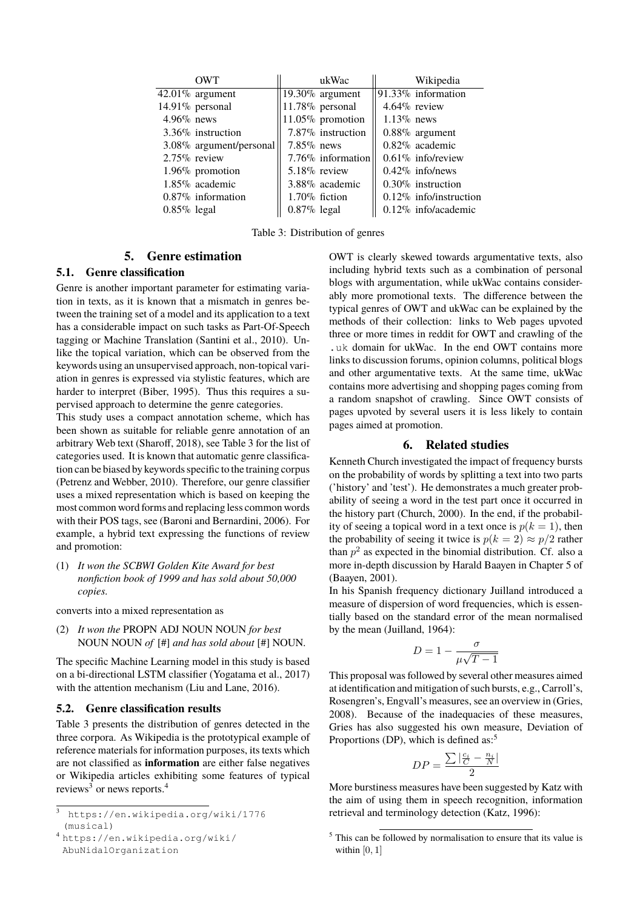| <b>OWT</b>              | ukWac               | Wikipedia                 |
|-------------------------|---------------------|---------------------------|
| $42.01\%$ argument      | 19.30% argument     | 91.33% information        |
| $14.91\%$ personal      | $11.78\%$ personal  | $4.64\%$ review           |
| $4.96\%$ news           | $11.05\%$ promotion | $1.13\%$ news             |
| $3.36\%$ instruction    | 7.87% instruction   | $0.88\%$ argument         |
| 3.08% argument/personal | $7.85\%$ news       | $0.82\%$ academic         |
| $2.75\%$ review         | 7.76\% information  | $0.61\%$ info/review      |
| $1.96\%$ promotion      | $5.18\%$ review     | $0.42\%$ info/news        |
| $1.85\%$ academic       | $3.88\%$ academic   | $0.30\%$ instruction      |
| $0.87\%$ information    | $1.70\%$ fiction    | $0.12\%$ info/instruction |
| $0.85\%$ legal          | $0.87\%$ legal      | $0.12\%$ info/academic    |

<span id="page-4-0"></span>Table 3: Distribution of genres

# **5. Genre estimation**

### **5.1. Genre classification**

Genre is another important parameter for estimating variation in texts, as it is known that a mismatch in genres between the training set of a model and its application to a text has a considerable impact on such tasks as Part-Of-Speech tagging or Machine Translation [\(Santini et al., 2010\)](#page-0-0). Unlike the topical variation, which can be observed from the keywords using an unsupervised approach, non-topical variation in genres is expressed via stylistic features, which are harder to interpret [\(Biber, 1995\)](#page-0-0). Thus this requires a supervised approach to determine the genre categories.

This study uses a compact annotation scheme, which has been shown as suitable for reliable genre annotation of an arbitrary Web text [\(Sharoff, 2018\)](#page-0-0), see Table [3](#page-4-0) for the list of categories used. It is known that automatic genre classification can be biased by keywords specific to the training corpus [\(Petrenz and Webber, 2010\)](#page-0-0). Therefore, our genre classifier uses a mixed representation which is based on keeping the most common word forms and replacing less common words with their POS tags, see [\(Baroni and Bernardini, 2006\)](#page-0-0). For example, a hybrid text expressing the functions of review and promotion:

(1) *It won the SCBWI Golden Kite Award for best nonfiction book of 1999 and has sold about 50,000 copies.*

converts into a mixed representation as

(2) *It won the* PROPN ADJ NOUN NOUN *for best* NOUN NOUN *of* [#] *and has sold about* [#] NOUN.

The specific Machine Learning model in this study is based on a bi-directional LSTM classifier [\(Yogatama et al., 2017\)](#page-0-0) with the attention mechanism [\(Liu and Lane, 2016\)](#page-0-0).

# **5.2. Genre classification results**

Table [3](#page-4-0) presents the distribution of genres detected in the three corpora. As Wikipedia is the prototypical example of reference materials for information purposes, its texts which are not classified as **information** are either false negatives or Wikipedia articles exhibiting some features of typical reviews<sup>[3](#page-0-0)</sup> or news reports.<sup>[4](#page-0-0)</sup>

OWT is clearly skewed towards argumentative texts, also including hybrid texts such as a combination of personal blogs with argumentation, while ukWac contains considerably more promotional texts. The difference between the typical genres of OWT and ukWac can be explained by the methods of their collection: links to Web pages upvoted three or more times in reddit for OWT and crawling of the .uk domain for ukWac. In the end OWT contains more links to discussion forums, opinion columns, political blogs and other argumentative texts. At the same time, ukWac contains more advertising and shopping pages coming from a random snapshot of crawling. Since OWT consists of pages upvoted by several users it is less likely to contain pages aimed at promotion.

# **6. Related studies**

Kenneth Church investigated the impact of frequency bursts on the probability of words by splitting a text into two parts ('history' and 'test'). He demonstrates a much greater probability of seeing a word in the test part once it occurred in the history part [\(Church, 2000\)](#page-0-0). In the end, if the probability of seeing a topical word in a text once is  $p(k = 1)$ , then the probability of seeing it twice is  $p(k = 2) \approx p/2$  rather than  $p^2$  as expected in the binomial distribution. Cf. also a more in-depth discussion by Harald Baayen in Chapter 5 of [\(Baayen, 2001\)](#page-0-0).

In his Spanish frequency dictionary Juilland introduced a measure of dispersion of word frequencies, which is essentially based on the standard error of the mean normalised by the mean [\(Juilland, 1964\)](#page-0-0):

$$
D = 1 - \frac{\sigma}{\mu\sqrt{T - 1}}
$$

This proposal was followed by several other measures aimed at identification and mitigation of such bursts, e.g., Carroll's, Rosengren's, Engvall's measures, see an overview in [\(Gries,](#page-0-0) [2008\)](#page-0-0). Because of the inadequacies of these measures, Gries has also suggested his own measure, Deviation of Proportions (DP), which is defined as:<sup>[5](#page-0-0)</sup>

$$
DP = \frac{\sum |\frac{c_i}{C} - \frac{n_i}{N}|}{2}
$$

More burstiness measures have been suggested by Katz with the aim of using them in speech recognition, information retrieval and terminology detection [\(Katz, 1996\)](#page-0-0):

<sup>3</sup> https://en.wikipedia.org/wiki/1776 (musical)

<sup>4</sup> [https://en.wikipedia.org/wiki/](https://en.wikipedia.org/wiki/Abu Nidal Organization) [AbuNidalOrganization](https://en.wikipedia.org/wiki/Abu Nidal Organization)

<sup>5</sup> This can be followed by normalisation to ensure that its value is within  $[0, 1]$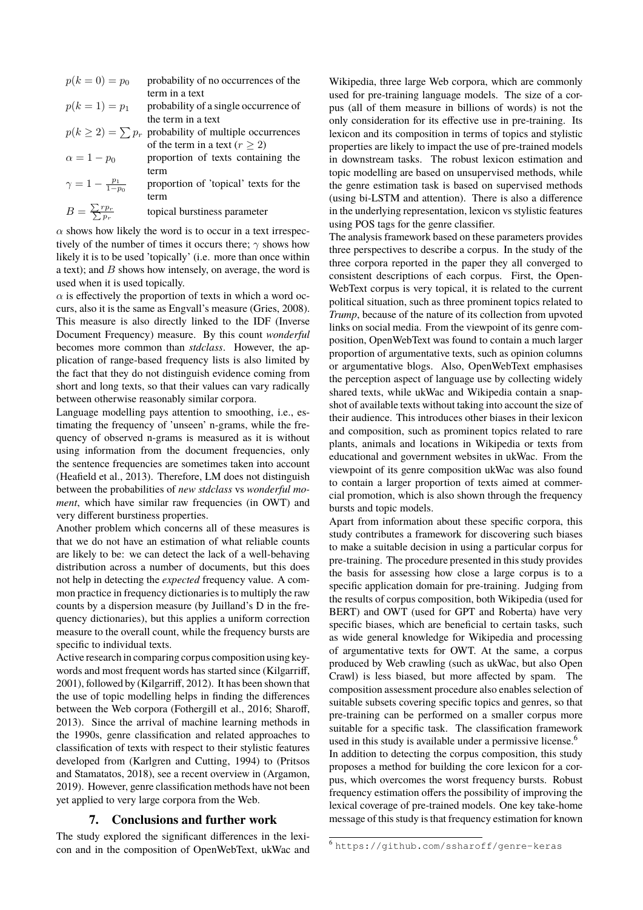$p(k = 0) = p_0$  probability of no occurrences of the term in a text

$$
p(k = 1) = p_1
$$
 probability of a single occurrence of  
the term in a text

- $p(k \geq 2) = \sum p_r$  probability of multiple occurrences of the term in a text ( $r \geq 2$ )
- $\alpha = 1 p_0$  proportion of texts containing the term
- $\gamma = 1 \frac{p_1}{1-p_0}$ proportion of 'topical' texts for the term

$$
B = \frac{\sum r p_r}{\sum p_r}
$$
 \tropical bursts iness parameter

 $\alpha$  shows how likely the word is to occur in a text irrespectively of the number of times it occurs there;  $\gamma$  shows how likely it is to be used 'topically' (i.e. more than once within a text); and  $B$  shows how intensely, on average, the word is used when it is used topically.

 $\alpha$  is effectively the proportion of texts in which a word occurs, also it is the same as Engvall's measure [\(Gries, 2008\)](#page-0-0). This measure is also directly linked to the IDF (Inverse Document Frequency) measure. By this count *wonderful* becomes more common than *stdclass*. However, the application of range-based frequency lists is also limited by the fact that they do not distinguish evidence coming from short and long texts, so that their values can vary radically between otherwise reasonably similar corpora.

Language modelling pays attention to smoothing, i.e., estimating the frequency of 'unseen' n-grams, while the frequency of observed n-grams is measured as it is without using information from the document frequencies, only the sentence frequencies are sometimes taken into account [\(Heafield et al., 2013\)](#page-0-0). Therefore, LM does not distinguish between the probabilities of *new stdclass* vs *wonderful moment*, which have similar raw frequencies (in OWT) and very different burstiness properties.

Another problem which concerns all of these measures is that we do not have an estimation of what reliable counts are likely to be: we can detect the lack of a well-behaving distribution across a number of documents, but this does not help in detecting the *expected* frequency value. A common practice in frequency dictionaries is to multiply the raw counts by a dispersion measure (by Juilland's D in the frequency dictionaries), but this applies a uniform correction measure to the overall count, while the frequency bursts are specific to individual texts.

Active research in comparing corpus composition using keywords and most frequent words has started since [\(Kilgarriff,](#page-0-0) [2001\)](#page-0-0), followed by [\(Kilgarriff, 2012\)](#page-0-0). It has been shown that the use of topic modelling helps in finding the differences between the Web corpora [\(Fothergill et al., 2016; Sharoff,](#page-0-0) [2013\)](#page-0-0). Since the arrival of machine learning methods in the 1990s, genre classification and related approaches to classification of texts with respect to their stylistic features developed from [\(Karlgren and Cutting, 1994\)](#page-0-0) to [\(Pritsos](#page-0-0) [and Stamatatos, 2018\)](#page-0-0), see a recent overview in [\(Argamon,](#page-0-0) [2019\)](#page-0-0). However, genre classification methods have not been yet applied to very large corpora from the Web.

# **7. Conclusions and further work**

The study explored the significant differences in the lexicon and in the composition of OpenWebText, ukWac and

Wikipedia, three large Web corpora, which are commonly used for pre-training language models. The size of a corpus (all of them measure in billions of words) is not the only consideration for its effective use in pre-training. Its lexicon and its composition in terms of topics and stylistic properties are likely to impact the use of pre-trained models in downstream tasks. The robust lexicon estimation and topic modelling are based on unsupervised methods, while the genre estimation task is based on supervised methods (using bi-LSTM and attention). There is also a difference in the underlying representation, lexicon vs stylistic features using POS tags for the genre classifier.

The analysis framework based on these parameters provides three perspectives to describe a corpus. In the study of the three corpora reported in the paper they all converged to consistent descriptions of each corpus. First, the Open-WebText corpus is very topical, it is related to the current political situation, such as three prominent topics related to *Trump*, because of the nature of its collection from upvoted links on social media. From the viewpoint of its genre composition, OpenWebText was found to contain a much larger proportion of argumentative texts, such as opinion columns or argumentative blogs. Also, OpenWebText emphasises the perception aspect of language use by collecting widely shared texts, while ukWac and Wikipedia contain a snapshot of available texts without taking into account the size of their audience. This introduces other biases in their lexicon and composition, such as prominent topics related to rare plants, animals and locations in Wikipedia or texts from educational and government websites in ukWac. From the viewpoint of its genre composition ukWac was also found to contain a larger proportion of texts aimed at commercial promotion, which is also shown through the frequency bursts and topic models.

Apart from information about these specific corpora, this study contributes a framework for discovering such biases to make a suitable decision in using a particular corpus for pre-training. The procedure presented in this study provides the basis for assessing how close a large corpus is to a specific application domain for pre-training. Judging from the results of corpus composition, both Wikipedia (used for BERT) and OWT (used for GPT and Roberta) have very specific biases, which are beneficial to certain tasks, such as wide general knowledge for Wikipedia and processing of argumentative texts for OWT. At the same, a corpus produced by Web crawling (such as ukWac, but also Open Crawl) is less biased, but more affected by spam. The composition assessment procedure also enables selection of suitable subsets covering specific topics and genres, so that pre-training can be performed on a smaller corpus more suitable for a specific task. The classification framework used in this study is available under a permissive license.<sup>[6](#page-0-0)</sup> In addition to detecting the corpus composition, this study proposes a method for building the core lexicon for a corpus, which overcomes the worst frequency bursts. Robust frequency estimation offers the possibility of improving the lexical coverage of pre-trained models. One key take-home message of this study is that frequency estimation for known

<sup>6</sup> <https://github.com/ssharoff/genre-keras>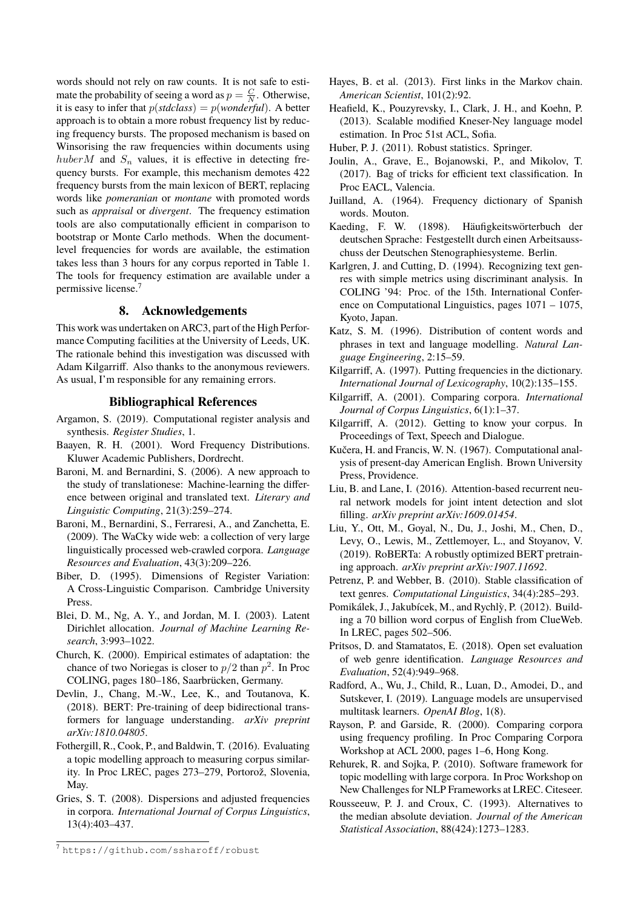words should not rely on raw counts. It is not safe to estimate the probability of seeing a word as  $p = \frac{C}{N}$ . Otherwise, it is easy to infer that  $p(stdclass) = p(worderful)$ . A better approach is to obtain a more robust frequency list by reducing frequency bursts. The proposed mechanism is based on Winsorising the raw frequencies within documents using huberM and  $S_n$  values, it is effective in detecting frequency bursts. For example, this mechanism demotes 422 frequency bursts from the main lexicon of BERT, replacing words like *pomeranian* or *montane* with promoted words such as *appraisal* or *divergent*. The frequency estimation tools are also computationally efficient in comparison to bootstrap or Monte Carlo methods. When the documentlevel frequencies for words are available, the estimation takes less than 3 hours for any corpus reported in Table [1.](#page-1-0) The tools for frequency estimation are available under a permissive license.[7](#page-0-0)

# **8. Acknowledgements**

This work was undertaken on ARC3, part of the High Performance Computing facilities at the University of Leeds, UK. The rationale behind this investigation was discussed with Adam Kilgarriff. Also thanks to the anonymous reviewers. As usual, I'm responsible for any remaining errors.

### **Bibliographical References**

- Argamon, S. (2019). Computational register analysis and synthesis. *Register Studies*, 1.
- Baayen, R. H. (2001). Word Frequency Distributions. Kluwer Academic Publishers, Dordrecht.
- Baroni, M. and Bernardini, S. (2006). A new approach to the study of translationese: Machine-learning the difference between original and translated text. *Literary and Linguistic Computing*, 21(3):259–274.
- Baroni, M., Bernardini, S., Ferraresi, A., and Zanchetta, E. (2009). The WaCky wide web: a collection of very large linguistically processed web-crawled corpora. *Language Resources and Evaluation*, 43(3):209–226.
- Biber, D. (1995). Dimensions of Register Variation: A Cross-Linguistic Comparison. Cambridge University Press.
- Blei, D. M., Ng, A. Y., and Jordan, M. I. (2003). Latent Dirichlet allocation. *Journal of Machine Learning Research*, 3:993–1022.
- Church, K. (2000). Empirical estimates of adaptation: the chance of two Noriegas is closer to  $p/2$  than  $p^2$ . In Proc COLING, pages 180–186, Saarbrücken, Germany.
- Devlin, J., Chang, M.-W., Lee, K., and Toutanova, K. (2018). BERT: Pre-training of deep bidirectional transformers for language understanding. *arXiv preprint arXiv:1810.04805*.
- Fothergill, R., Cook, P., and Baldwin, T. (2016). Evaluating a topic modelling approach to measuring corpus similarity. In Proc LREC, pages 273–279, Portorož, Slovenia, May.
- Gries, S. T. (2008). Dispersions and adjusted frequencies in corpora. *International Journal of Corpus Linguistics*, 13(4):403–437.
- Hayes, B. et al. (2013). First links in the Markov chain. *American Scientist*, 101(2):92.
- Heafield, K., Pouzyrevsky, I., Clark, J. H., and Koehn, P. (2013). Scalable modified Kneser-Ney language model estimation. In Proc 51st ACL, Sofia.
- Huber, P. J. (2011). Robust statistics. Springer.
- Joulin, A., Grave, E., Bojanowski, P., and Mikolov, T. (2017). Bag of tricks for efficient text classification. In Proc EACL, Valencia.
- Juilland, A. (1964). Frequency dictionary of Spanish words. Mouton.
- Kaeding, F. W. (1898). Häufigkeitswörterbuch der deutschen Sprache: Festgestellt durch einen Arbeitsausschuss der Deutschen Stenographiesysteme. Berlin.
- Karlgren, J. and Cutting, D. (1994). Recognizing text genres with simple metrics using discriminant analysis. In COLING '94: Proc. of the 15th. International Conference on Computational Linguistics, pages 1071 – 1075, Kyoto, Japan.
- Katz, S. M. (1996). Distribution of content words and phrases in text and language modelling. *Natural Language Engineering*, 2:15–59.
- Kilgarriff, A. (1997). Putting frequencies in the dictionary. *International Journal of Lexicography*, 10(2):135–155.
- Kilgarriff, A. (2001). Comparing corpora. *International Journal of Corpus Linguistics*, 6(1):1–37.
- Kilgarriff, A. (2012). Getting to know your corpus. In Proceedings of Text, Speech and Dialogue.
- Kučera, H. and Francis, W. N. (1967). Computational analysis of present-day American English. Brown University Press, Providence.
- Liu, B. and Lane, I. (2016). Attention-based recurrent neural network models for joint intent detection and slot filling. *arXiv preprint arXiv:1609.01454*.
- Liu, Y., Ott, M., Goyal, N., Du, J., Joshi, M., Chen, D., Levy, O., Lewis, M., Zettlemoyer, L., and Stoyanov, V. (2019). RoBERTa: A robustly optimized BERT pretraining approach. *arXiv preprint arXiv:1907.11692*.
- Petrenz, P. and Webber, B. (2010). Stable classification of text genres. *Computational Linguistics*, 34(4):285–293.
- Pomikálek, J., Jakubícek, M., and Rychly, P. (2012). Build- ` ing a 70 billion word corpus of English from ClueWeb. In LREC, pages 502–506.
- Pritsos, D. and Stamatatos, E. (2018). Open set evaluation of web genre identification. *Language Resources and Evaluation*, 52(4):949–968.
- Radford, A., Wu, J., Child, R., Luan, D., Amodei, D., and Sutskever, I. (2019). Language models are unsupervised multitask learners. *OpenAI Blog*, 1(8).
- Rayson, P. and Garside, R. (2000). Comparing corpora using frequency profiling. In Proc Comparing Corpora Workshop at ACL 2000, pages 1–6, Hong Kong.
- Rehurek, R. and Sojka, P. (2010). Software framework for topic modelling with large corpora. In Proc Workshop on New Challenges for NLP Frameworks at LREC. Citeseer.
- Rousseeuw, P. J. and Croux, C. (1993). Alternatives to the median absolute deviation. *Journal of the American Statistical Association*, 88(424):1273–1283.

<sup>7</sup> <https://github.com/ssharoff/robust>